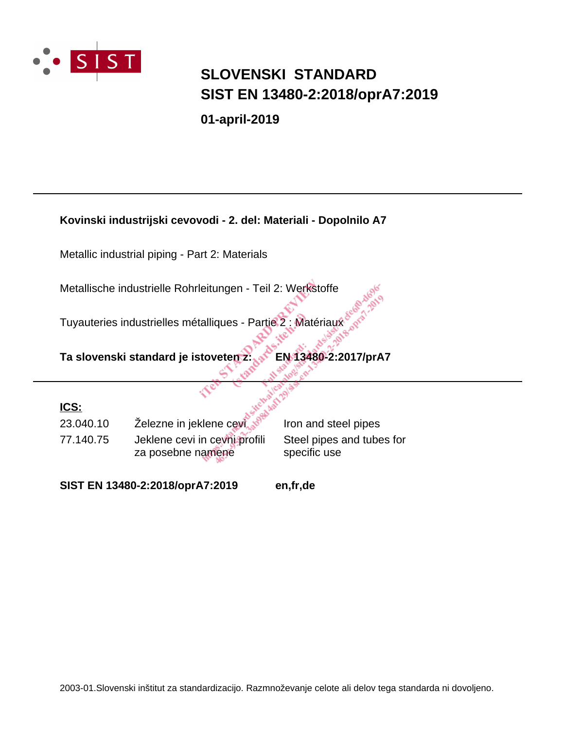

## **SIST EN 13480-2:2018/oprA7:2019 SLOVENSKI STANDARD**

**01-april-2019**

#### **Kovinski industrijski cevovodi - 2. del: Materiali - Dopolnilo A7**

Metallic industrial piping - Part 2: Materials

Metallische industrielle Rohrleitungen - Teil 2: Werkstoffe

Tuyauteries indust[rielles métalliques - Partie 2 : Matériaux](J�_jujW�vӵ�Y�i���F�9�"���57��E$�9���)

**Ta slovenski standard je istoveten z: EN 13480-2:2017/prA7**

#### **ICS:**

77.140.75 Jeklene cevi in cevni profili za posebne namene 23.040.10 Železne in jeklene cevi Note Iron and steel pipes

Steel pipes and tubes for specific use

**SIST EN 13480-2:2018/oprA7:2019 en,fr,de**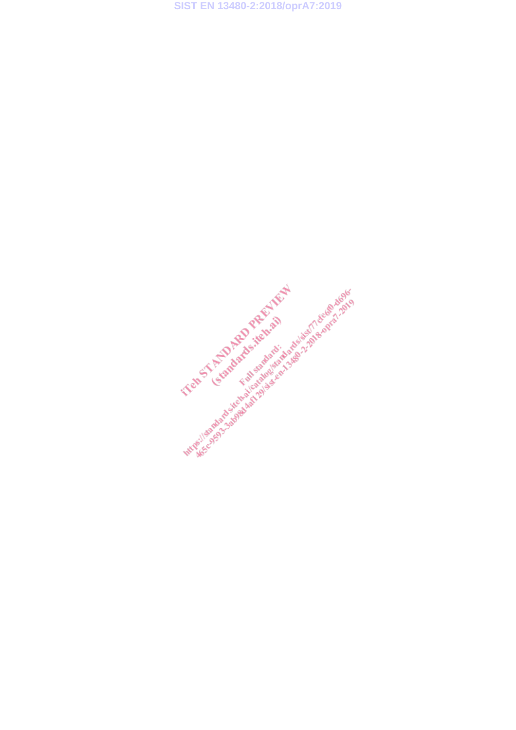**SIST EN 13480-2:2018/oprA7:2019**

International development of the term of the company of the company of the company of the company of the company of the company of the company of the company of the company of the company of the company of the company of t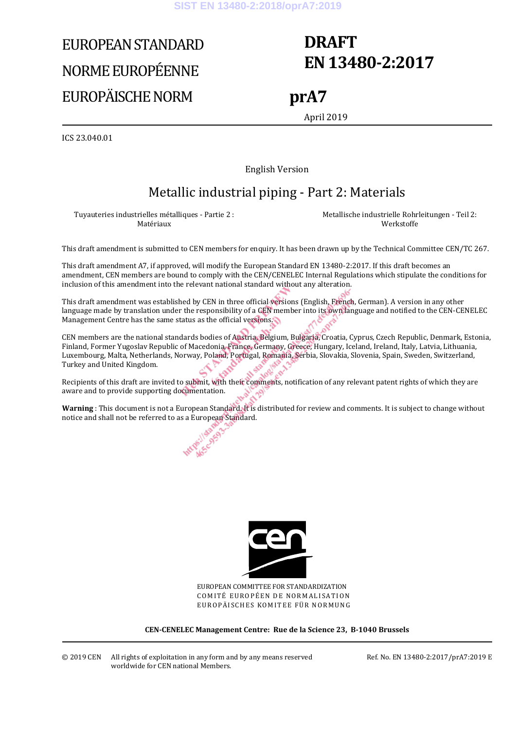# EUROPEAN STANDARD NORME EUROPÉENNE EUROPÄISCHE NORM

## **DRAFT EN 13480-2:2017**

### **prA7**

April 2019

ICS 23.040.01

English Version

### Metallic industrial piping - Part 2: Materials

Tuyauteries industrielles métalliques - Partie 2 : Matériaux

 Metallische industrielle Rohrleitungen - Teil 2: Werkstoffe

This draft amendmen[t is submitted to CEN members for enquiry. It has been drawn up by the Te](9udZF�h�з<1�Pg����^����}�Ι�D�
ʀru������}�)	��_�oU�hiY��Z���o�]�N~	�ZY��Dmj����۠���M1�̈́��P7<=TO)chnical Committee CEN/TC 267.

This draft amendment A7, if approved, will modify the European Standard EN 13480-2:2017. If this draft becomes an amendment, CEN members are bound to comply with the CEN/CENELEC Internal Regulations which stipulate the conditions for inclusion of this amendment into the relevant national standard without any alteration.

This draft amendment was established by CEN in three official versions (English, French, German). A version in any other language made by translation under the responsibility of a CEN member into its own language and notified to the CEN-CENELEC Management Centre has the same status as the official versions.

CEN members are the national standards bodies of Austria, Belgium, Bulgaria, Croatia, Cyprus, Czech Republic, Denmark, Estonia, Finland, Former Yugoslav Republic of Macedonia, France, Germany, Greece, Hungary, Iceland, Ireland, Italy, Latvia, Lithuania, Luxembourg, Malta, Netherlands, Norway, Poland, Portugal, Romania, Serbia, Slovakia, Slovenia, Spain, Sweden, Switzerland, Turkey and United Kingdom.

Recipients of this draft are invited to submit, with their comments, notification of any relevant patent rights of which they are aware and to provide supporting documentation.

**Warning** : This document is not a European Standard. It is distributed for review and comments. It is subject to change without notice and shall not be referred to as a European Standard.



EUROPEAN COMMITTEE FOR STANDARDIZATION COMITÉ EUROPÉEN DE NORMALISATION EUROPÄISCHES KOMITEE FÜR NORMUNG

**CEN-CENELEC Management Centre: Rue de la Science 23, B-1040 Brussels** 

Ref. No. EN 13480-2:2017/prA7:2019 E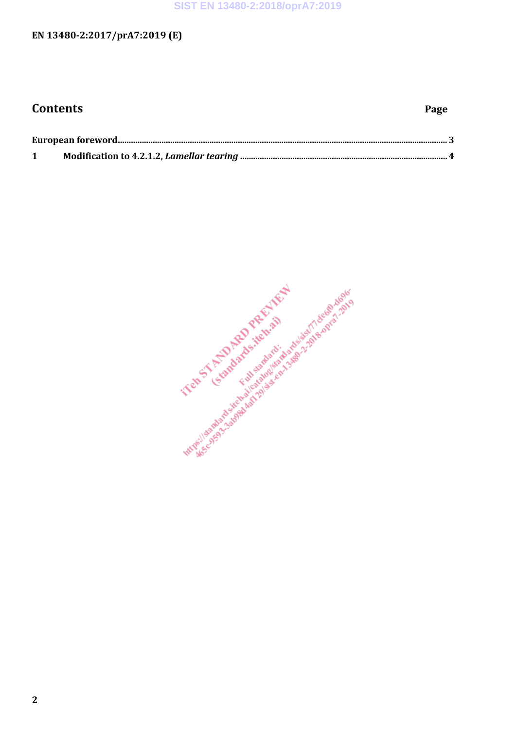#### SIST EN 13480-2:2018/oprA7:2019

#### EN 13480-2:2017/prA7:2019 (E)

### **Contents**

#### Page

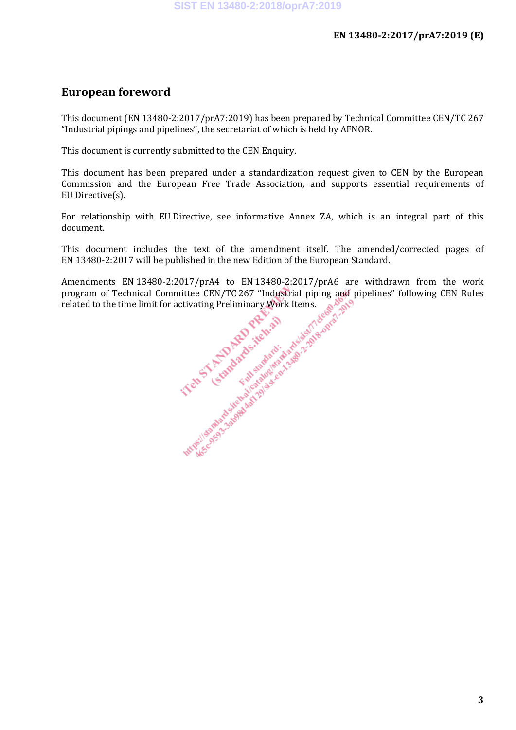#### **European foreword**

This document (EN 13480-2:2017/prA7:2019) has been prepared by Technical Committee CEN/TC 267 "Industrial pipings and pipelines", the secretariat of which is held by AFNOR.

This document is currently submitted to the CEN Enquiry.

This document has been prepared under a standardization request given to CEN by the European Commission and the European Free Trade Association, and supports essential requirements of EU Directive(s).

For relationship with EU Directive, see informative Annex ZA, which is an integral part of this document.

This document [includes the text of the amendment itself. The amend](caeϧ:��<$su���ޑ��+�F���]d������)ed/corrected pages of EN 13480-2:2017 will be published in the new Edition of the European Standard.

Amendments EN 13480-2:2017/prA4 to EN 13480-2:2017/prA6 are withdrawn from the work program of Technical Committee CEN/TC 267 "Industrial piping and pipelines" following CEN Rules related to the time limit for activating Preliminary Work Items.

EN 1480-2:2017/prA6 a street, the Europe.<br>
"Industrial piping and mary Work Items.<br>
... mary Work Items.<br>
... and More Items.<br>
... and More Items in the new Edition of the new Edition of the new Edition of the new Edition